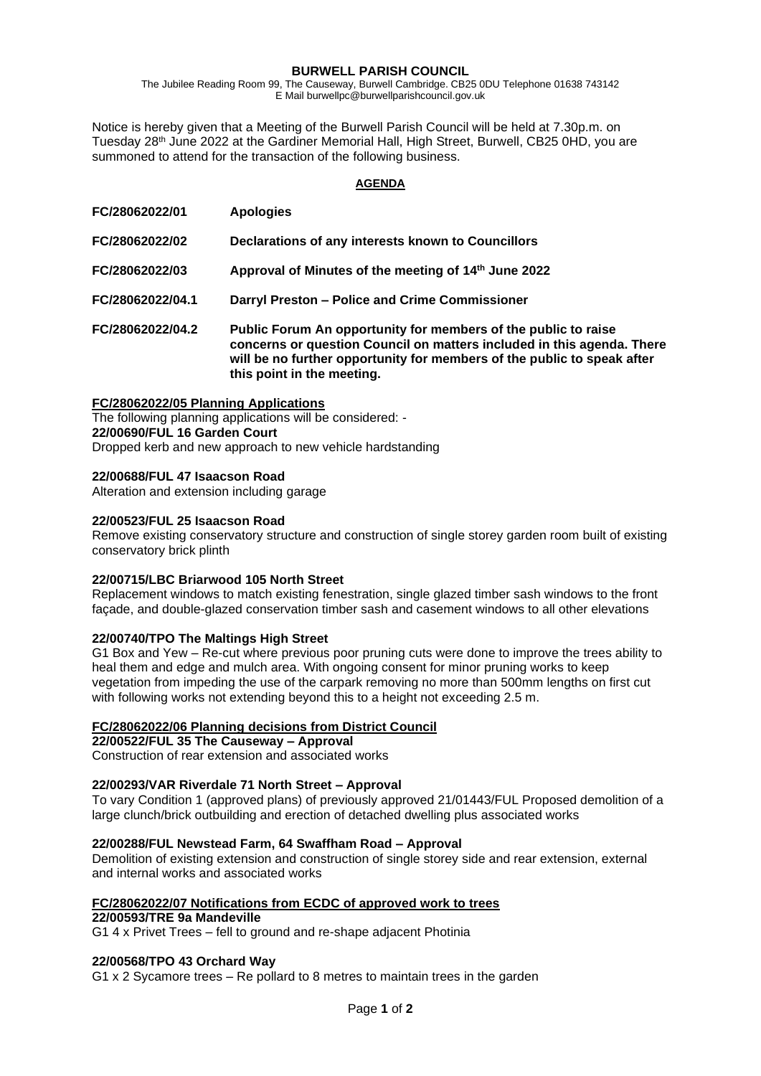### **BURWELL PARISH COUNCIL**

The Jubilee Reading Room 99, The Causeway, Burwell Cambridge. CB25 0DU Telephone 01638 743142 E Mail burwellpc@burwellparishcouncil.gov.uk

Notice is hereby given that a Meeting of the Burwell Parish Council will be held at 7.30p.m. on Tuesday 28<sup>th</sup> June 2022 at the Gardiner Memorial Hall, High Street, Burwell, CB25 0HD, you are summoned to attend for the transaction of the following business.

#### **AGENDA**

| FC/28062022/01   | <b>Apologies</b>                                                                                                                                                                                                                                  |
|------------------|---------------------------------------------------------------------------------------------------------------------------------------------------------------------------------------------------------------------------------------------------|
| FC/28062022/02   | Declarations of any interests known to Councillors                                                                                                                                                                                                |
| FC/28062022/03   | Approval of Minutes of the meeting of 14th June 2022                                                                                                                                                                                              |
| FC/28062022/04.1 | Darryl Preston - Police and Crime Commissioner                                                                                                                                                                                                    |
| FC/28062022/04.2 | Public Forum An opportunity for members of the public to raise<br>concerns or question Council on matters included in this agenda. There<br>will be no further opportunity for members of the public to speak after<br>this point in the meeting. |

#### **FC/28062022/05 Planning Applications**

The following planning applications will be considered: - **22/00690/FUL 16 Garden Court** Dropped kerb and new approach to new vehicle hardstanding

#### **22/00688/FUL 47 Isaacson Road**

Alteration and extension including garage

#### **22/00523/FUL 25 Isaacson Road**

Remove existing conservatory structure and construction of single storey garden room built of existing conservatory brick plinth

## **22/00715/LBC Briarwood 105 North Street**

Replacement windows to match existing fenestration, single glazed timber sash windows to the front façade, and double-glazed conservation timber sash and casement windows to all other elevations

## **22/00740/TPO The Maltings High Street**

G1 Box and Yew – Re-cut where previous poor pruning cuts were done to improve the trees ability to heal them and edge and mulch area. With ongoing consent for minor pruning works to keep vegetation from impeding the use of the carpark removing no more than 500mm lengths on first cut with following works not extending beyond this to a height not exceeding 2.5 m.

## **FC/28062022/06 Planning decisions from District Council**

**22/00522/FUL 35 The Causeway – Approval**

Construction of rear extension and associated works

## **22/00293/VAR Riverdale 71 North Street – Approval**

To vary Condition 1 (approved plans) of previously approved 21/01443/FUL Proposed demolition of a large clunch/brick outbuilding and erection of detached dwelling plus associated works

## **22/00288/FUL Newstead Farm, 64 Swaffham Road – Approval**

Demolition of existing extension and construction of single storey side and rear extension, external and internal works and associated works

#### **FC/28062022/07 Notifications from ECDC of approved work to trees**

### **22/00593/TRE 9a Mandeville**

G1 4 x Privet Trees – fell to ground and re-shape adjacent Photinia

## **22/00568/TPO 43 Orchard Way**

G1 x 2 Sycamore trees – Re pollard to 8 metres to maintain trees in the garden